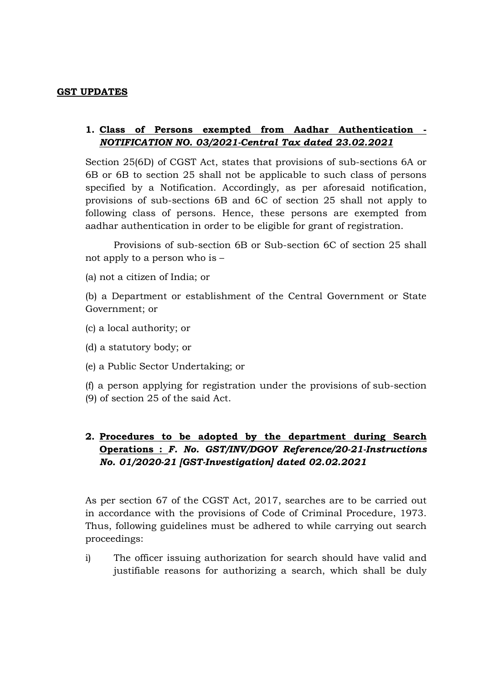## **GST UPDATES**

## **1. Class of Persons exempted from Aadhar Authentication -** *NOTIFICATION NO. 03/2021-Central Tax dated 23.02.2021*

Section 25(6D) of CGST Act, states that provisions of sub-sections 6A or 6B or 6B to section 25 shall not be applicable to such class of persons specified by a Notification. Accordingly, as per aforesaid notification, provisions of sub-sections 6B and 6C of section 25 shall not apply to following class of persons. Hence, these persons are exempted from aadhar authentication in order to be eligible for grant of registration.

 Provisions of sub-section 6B or Sub-section 6C of section 25 shall not apply to a person who is –

(a) not a citizen of India; or

(b) a Department or establishment of the Central Government or State Government; or

- (c) a local authority; or
- (d) a statutory body; or
- (e) a Public Sector Undertaking; or

(f) a person applying for registration under the provisions of sub-section (9) of section 25 of the said Act.

## **2. Procedures to be adopted by the department during Search Operations :** *F. No. GST/INV/DGOV Reference/20-21-Instructions No. 01/2020-21 [GST-Investigation] dated 02.02.2021*

As per section 67 of the CGST Act, 2017, searches are to be carried out in accordance with the provisions of Code of Criminal Procedure, 1973. Thus, following guidelines must be adhered to while carrying out search proceedings:

i) The officer issuing authorization for search should have valid and justifiable reasons for authorizing a search, which shall be duly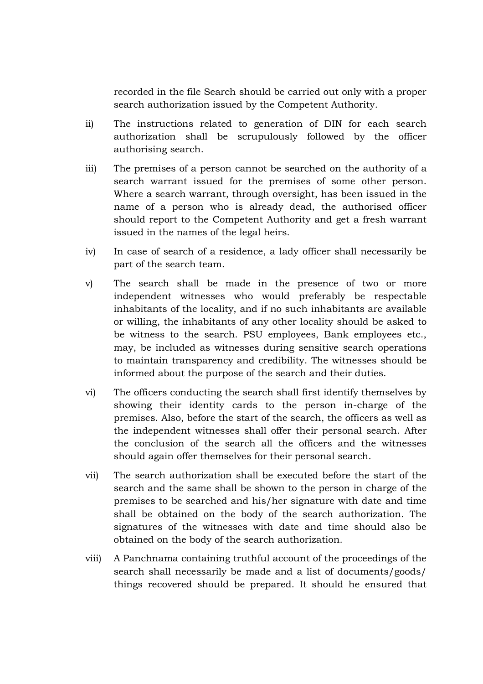recorded in the file Search should be carried out only with a proper search authorization issued by the Competent Authority.

- ii) The instructions related to generation of DIN for each search authorization shall be scrupulously followed by the officer authorising search.
- iii) The premises of a person cannot be searched on the authority of a search warrant issued for the premises of some other person. Where a search warrant, through oversight, has been issued in the name of a person who is already dead, the authorised officer should report to the Competent Authority and get a fresh warrant issued in the names of the legal heirs.
- iv) In case of search of a residence, a lady officer shall necessarily be part of the search team.
- v) The search shall be made in the presence of two or more independent witnesses who would preferably be respectable inhabitants of the locality, and if no such inhabitants are available or willing, the inhabitants of any other locality should be asked to be witness to the search. PSU employees, Bank employees etc., may, be included as witnesses during sensitive search operations to maintain transparency and credibility. The witnesses should be informed about the purpose of the search and their duties.
- vi) The officers conducting the search shall first identify themselves by showing their identity cards to the person in-charge of the premises. Also, before the start of the search, the officers as well as the independent witnesses shall offer their personal search. After the conclusion of the search all the officers and the witnesses should again offer themselves for their personal search.
- vii) The search authorization shall be executed before the start of the search and the same shall be shown to the person in charge of the premises to be searched and his/her signature with date and time shall be obtained on the body of the search authorization. The signatures of the witnesses with date and time should also be obtained on the body of the search authorization.
- viii) A Panchnama containing truthful account of the proceedings of the search shall necessarily be made and a list of documents/goods/ things recovered should be prepared. It should he ensured that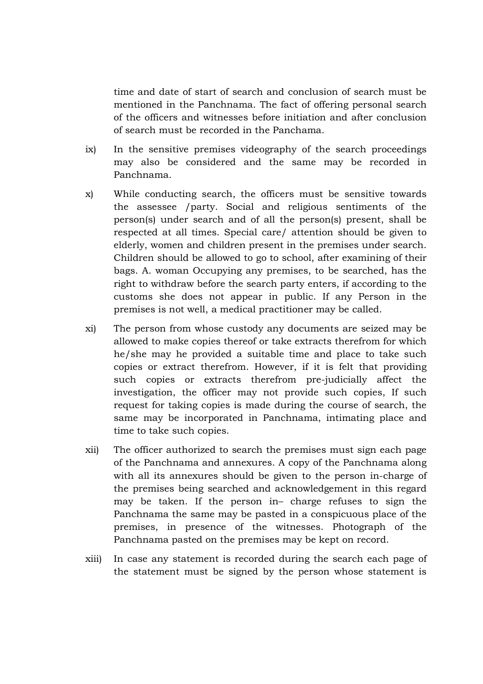time and date of start of search and conclusion of search must be mentioned in the Panchnama. The fact of offering personal search of the officers and witnesses before initiation and after conclusion of search must be recorded in the Panchama.

- ix) In the sensitive premises videography of the search proceedings may also be considered and the same may be recorded in Panchnama.
- x) While conducting search, the officers must be sensitive towards the assessee /party. Social and religious sentiments of the person(s) under search and of all the person(s) present, shall be respected at all times. Special care/ attention should be given to elderly, women and children present in the premises under search. Children should be allowed to go to school, after examining of their bags. A. woman Occupying any premises, to be searched, has the right to withdraw before the search party enters, if according to the customs she does not appear in public. If any Person in the premises is not well, a medical practitioner may be called.
- xi) The person from whose custody any documents are seized may be allowed to make copies thereof or take extracts therefrom for which he/she may he provided a suitable time and place to take such copies or extract therefrom. However, if it is felt that providing such copies or extracts therefrom pre-judicially affect the investigation, the officer may not provide such copies, If such request for taking copies is made during the course of search, the same may be incorporated in Panchnama, intimating place and time to take such copies.
- xii) The officer authorized to search the premises must sign each page of the Panchnama and annexures. A copy of the Panchnama along with all its annexures should be given to the person in-charge of the premises being searched and acknowledgement in this regard may be taken. If the person in– charge refuses to sign the Panchnama the same may be pasted in a conspicuous place of the premises, in presence of the witnesses. Photograph of the Panchnama pasted on the premises may be kept on record.
- xiii) In case any statement is recorded during the search each page of the statement must be signed by the person whose statement is